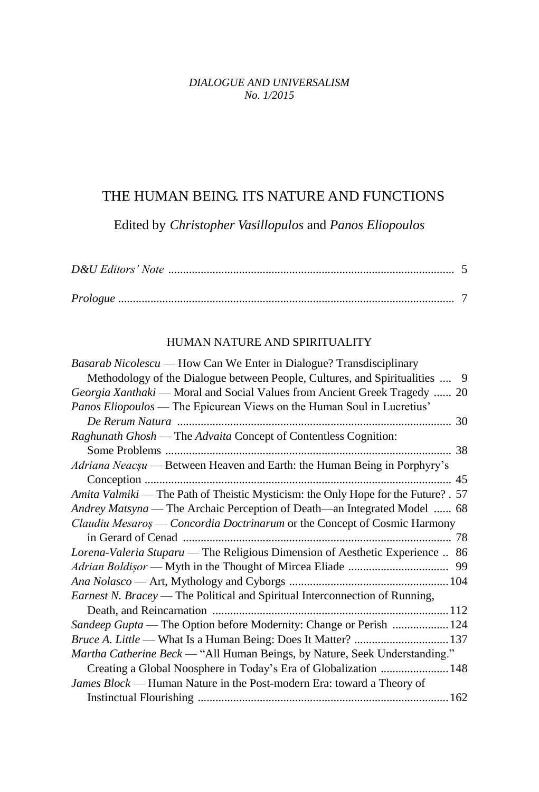## *DIALOGUE AND UNIVERSALISM No. 1/2015*

## THE HUMAN BEING. ITS NATURE AND FUNCTIONS

Edited by *Christopher Vasillopulos* and *Panos Eliopoulos*

## HUMAN NATURE AND SPIRITUALITY

| <i>Basarab Nicolescu</i> — How Can We Enter in Dialogue? Transdisciplinary         |
|------------------------------------------------------------------------------------|
| Methodology of the Dialogue between People, Cultures, and Spiritualities<br>9      |
| Georgia Xanthaki — Moral and Social Values from Ancient Greek Tragedy  20          |
| <i>Panos Eliopoulos</i> — The Epicurean Views on the Human Soul in Lucretius'      |
|                                                                                    |
| Raghunath Ghosh — The Advaita Concept of Contentless Cognition:                    |
|                                                                                    |
| Adriana Neacșu — Between Heaven and Earth: the Human Being in Porphyry's           |
|                                                                                    |
| Amita Valmiki — The Path of Theistic Mysticism: the Only Hope for the Future? . 57 |
| Andrey Matsyna — The Archaic Perception of Death—an Integrated Model  68           |
| Claudiu Mesaros — Concordia Doctrinarum or the Concept of Cosmic Harmony           |
|                                                                                    |
| Lorena-Valeria Stuparu — The Religious Dimension of Aesthetic Experience  86       |
|                                                                                    |
|                                                                                    |
|                                                                                    |
| <i>Earnest N. Bracey</i> — The Political and Spiritual Interconnection of Running, |
|                                                                                    |
| Sandeep Gupta — The Option before Modernity: Change or Perish  124                 |
|                                                                                    |
| Martha Catherine Beck — "All Human Beings, by Nature, Seek Understanding."         |
| Creating a Global Noosphere in Today's Era of Globalization  148                   |
| James Block — Human Nature in the Post-modern Era: toward a Theory of              |